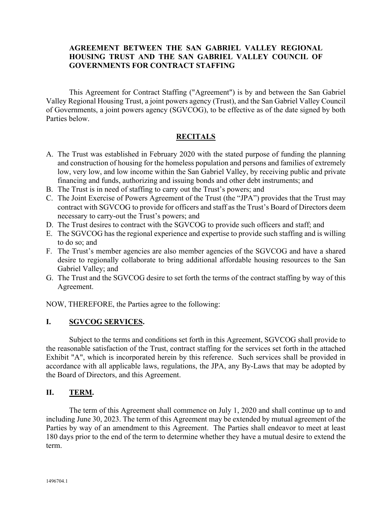## **AGREEMENT BETWEEN THE SAN GABRIEL VALLEY REGIONAL HOUSING TRUST AND THE SAN GABRIEL VALLEY COUNCIL OF GOVERNMENTS FOR CONTRACT STAFFING**

This Agreement for Contract Staffing ("Agreement") is by and between the San Gabriel Valley Regional Housing Trust, a joint powers agency (Trust), and the San Gabriel Valley Council of Governments, a joint powers agency (SGVCOG), to be effective as of the date signed by both Parties below.

## **RECITALS**

- A. The Trust was established in February 2020 with the stated purpose of funding the planning and construction of housing for the homeless population and persons and families of extremely low, very low, and low income within the San Gabriel Valley, by receiving public and private financing and funds, authorizing and issuing bonds and other debt instruments; and
- B. The Trust is in need of staffing to carry out the Trust's powers; and
- C. The Joint Exercise of Powers Agreement of the Trust (the "JPA") provides that the Trust may contract with SGVCOG to provide for officers and staff as the Trust's Board of Directors deem necessary to carry-out the Trust's powers; and
- D. The Trust desires to contract with the SGVCOG to provide such officers and staff; and
- E. The SGVCOG has the regional experience and expertise to provide such staffing and is willing to do so; and
- F. The Trust's member agencies are also member agencies of the SGVCOG and have a shared desire to regionally collaborate to bring additional affordable housing resources to the San Gabriel Valley; and
- G. The Trust and the SGVCOG desire to set forth the terms of the contract staffing by way of this Agreement.

NOW, THEREFORE, the Parties agree to the following:

## **I. SGVCOG SERVICES.**

Subject to the terms and conditions set forth in this Agreement, SGVCOG shall provide to the reasonable satisfaction of the Trust, contract staffing for the services set forth in the attached Exhibit "A", which is incorporated herein by this reference. Such services shall be provided in accordance with all applicable laws, regulations, the JPA, any By-Laws that may be adopted by the Board of Directors, and this Agreement.

## **II. TERM.**

The term of this Agreement shall commence on July 1, 2020 and shall continue up to and including June 30, 2023. The term of this Agreement may be extended by mutual agreement of the Parties by way of an amendment to this Agreement. The Parties shall endeavor to meet at least 180 days prior to the end of the term to determine whether they have a mutual desire to extend the term.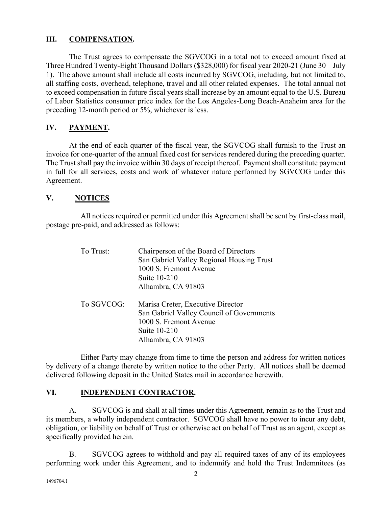#### **III. COMPENSATION.**

The Trust agrees to compensate the SGVCOG in a total not to exceed amount fixed at Three Hundred Twenty-Eight Thousand Dollars (\$328,000) for fiscal year 2020-21 (June 30 – July 1). The above amount shall include all costs incurred by SGVCOG, including, but not limited to, all staffing costs, overhead, telephone, travel and all other related expenses. The total annual not to exceed compensation in future fiscal years shall increase by an amount equal to the U.S. Bureau of Labor Statistics consumer price index for the Los Angeles-Long Beach-Anaheim area for the preceding 12-month period or 5%, whichever is less.

## **IV. PAYMENT.**

At the end of each quarter of the fiscal year, the SGVCOG shall furnish to the Trust an invoice for one-quarter of the annual fixed cost for services rendered during the preceding quarter. The Trust shall pay the invoice within 30 days of receipt thereof. Payment shall constitute payment in full for all services, costs and work of whatever nature performed by SGVCOG under this Agreement.

#### **V. NOTICES**

All notices required or permitted under this Agreement shall be sent by first-class mail, postage pre-paid, and addressed as follows:

| To Trust:  | Chairperson of the Board of Directors     |
|------------|-------------------------------------------|
|            | San Gabriel Valley Regional Housing Trust |
|            | 1000 S. Fremont Avenue                    |
|            | Suite 10-210                              |
|            | Alhambra, CA 91803                        |
| To SGVCOG: | Marisa Creter, Executive Director         |
|            | San Gabriel Valley Council of Governments |
|            | 1000 S. Fremont Avenue                    |
|            | Suite 10-210                              |
|            | Alhambra, CA 91803                        |

Either Party may change from time to time the person and address for written notices by delivery of a change thereto by written notice to the other Party. All notices shall be deemed delivered following deposit in the United States mail in accordance herewith.

## **VI. INDEPENDENT CONTRACTOR.**

A. SGVCOG is and shall at all times under this Agreement, remain as to the Trust and its members, a wholly independent contractor. SGVCOG shall have no power to incur any debt, obligation, or liability on behalf of Trust or otherwise act on behalf of Trust as an agent, except as specifically provided herein.

B. SGVCOG agrees to withhold and pay all required taxes of any of its employees performing work under this Agreement, and to indemnify and hold the Trust Indemnitees (as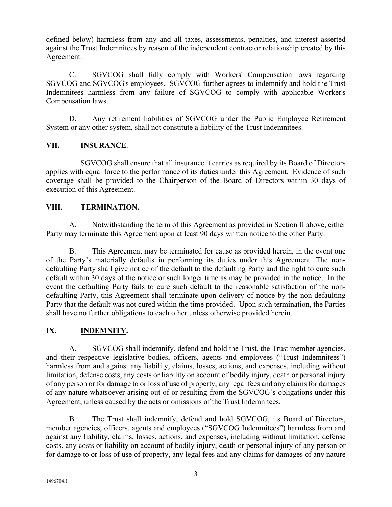defined below) harmless from any and all taxes, assessments, penalties, and interest asserted against the Trust Indemnitees by reason of the independent contractor relationship created by this Agreement.

C. SGVCOG shall fully comply with Workers' Compensation laws regarding SGVCOG and SGVCOG's employees. SGVCOG further agrees to indemnify and hold the Trust Indemnitees harmless from any failure of SGVCOG to comply with applicable Worker's Compensation laws.

D. Any retirement liabilities of SGVCOG under the Public Employee Retirement System or any other system, shall not constitute a liability of the Trust Indemnitees.

## **VII. INSURANCE**.

SGVCOG shall ensure that all insurance it carries as required by its Board of Directors applies with equal force to the performance of its duties under this Agreement. Evidence of such coverage shall be provided to the Chairperson of the Board of Directors within 30 days of execution of this Agreement.

## **VIII. TERMINATION.**

A. Notwithstanding the term of this Agreement as provided in Section II above, either Party may terminate this Agreement upon at least 90 days written notice to the other Party.

B. This Agreement may be terminated for cause as provided herein, in the event one of the Party's materially defaults in performing its duties under this Agreement. The nondefaulting Party shall give notice of the default to the defaulting Party and the right to cure such default within 30 days of the notice or such longer time as may be provided in the notice. In the event the defaulting Party fails to cure such default to the reasonable satisfaction of the nondefaulting Party, this Agreement shall terminate upon delivery of notice by the non-defaulting Party that the default was not cured within the time provided. Upon such termination, the Parties shall have no further obligations to each other unless otherwise provided herein.

# **IX. INDEMNITY.**

A. SGVCOG shall indemnify, defend and hold the Trust, the Trust member agencies, and their respective legislative bodies, officers, agents and employees ("Trust Indemnitees") harmless from and against any liability, claims, losses, actions, and expenses, including without limitation, defense costs, any costs or liability on account of bodily injury, death or personal injury of any person or for damage to or loss of use of property, any legal fees and any claims for damages of any nature whatsoever arising out of or resulting from the SGVCOG's obligations under this Agreement, unless caused by the acts or omissions of the Trust Indemnitees.

B. The Trust shall indemnify, defend and hold SGVCOG, its Board of Directors, member agencies, officers, agents and employees ("SGVCOG Indemnitees") harmless from and against any liability, claims, losses, actions, and expenses, including without limitation, defense costs, any costs or liability on account of bodily injury, death or personal injury of any person or for damage to or loss of use of property, any legal fees and any claims for damages of any nature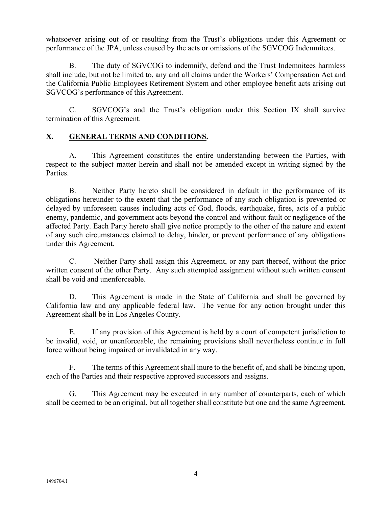whatsoever arising out of or resulting from the Trust's obligations under this Agreement or performance of the JPA, unless caused by the acts or omissions of the SGVCOG Indemnitees.

B. The duty of SGVCOG to indemnify, defend and the Trust Indemnitees harmless shall include, but not be limited to, any and all claims under the Workers' Compensation Act and the California Public Employees Retirement System and other employee benefit acts arising out SGVCOG's performance of this Agreement.

C. SGVCOG's and the Trust's obligation under this Section IX shall survive termination of this Agreement.

# **X. GENERAL TERMS AND CONDITIONS.**

A. This Agreement constitutes the entire understanding between the Parties, with respect to the subject matter herein and shall not be amended except in writing signed by the Parties.

B. Neither Party hereto shall be considered in default in the performance of its obligations hereunder to the extent that the performance of any such obligation is prevented or delayed by unforeseen causes including acts of God, floods, earthquake, fires, acts of a public enemy, pandemic, and government acts beyond the control and without fault or negligence of the affected Party. Each Party hereto shall give notice promptly to the other of the nature and extent of any such circumstances claimed to delay, hinder, or prevent performance of any obligations under this Agreement.

C. Neither Party shall assign this Agreement, or any part thereof, without the prior written consent of the other Party. Any such attempted assignment without such written consent shall be void and unenforceable.

D. This Agreement is made in the State of California and shall be governed by California law and any applicable federal law. The venue for any action brought under this Agreement shall be in Los Angeles County.

E. If any provision of this Agreement is held by a court of competent jurisdiction to be invalid, void, or unenforceable, the remaining provisions shall nevertheless continue in full force without being impaired or invalidated in any way.

F. The terms of this Agreement shall inure to the benefit of, and shall be binding upon, each of the Parties and their respective approved successors and assigns.

G. This Agreement may be executed in any number of counterparts, each of which shall be deemed to be an original, but all together shall constitute but one and the same Agreement.